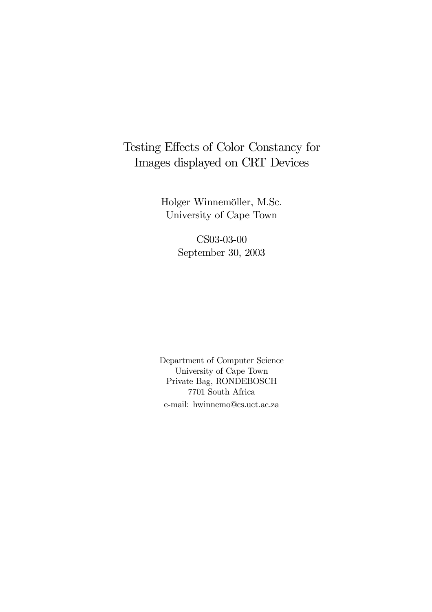# Testing Effects of Color Constancy for Images displayed on CRT Devices

Holger Winnemöller, M.Sc. University of Cape Town

> CS03-03-00 September 30, 2003

 $\!$  Department of Computer Science University of Cape Town Private Bag, RONDEBOSCH  $7701$  South Africa e-mail: hwinnemo@cs.uct.ac.za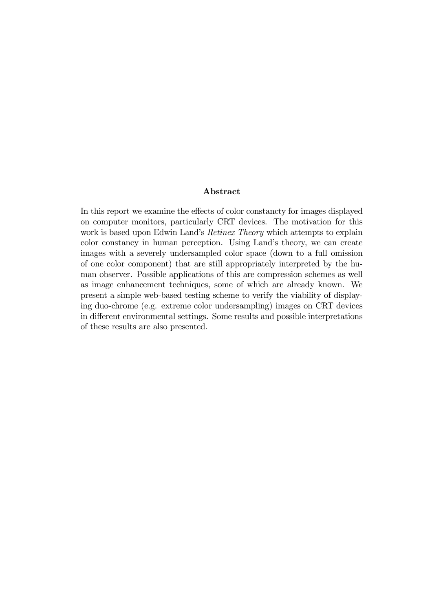# Abstract

In this report we examine the effects of color constancty for images displayed on computer monitors, particularly CRT devices. The motivation for this work is based upon Edwin Land's Retinex Theory which attempts to explain color constancy in human perception. Using Land's theory, we can create images with a severely undersampled color space (down to a full omission of one color component) that are still appropriately interpreted by the human observer. Possible applications of this are compression schemes as well as image enhancement techniques, some of which are already known. We present a simple web-based testing scheme to verify the viability of displaying duo-chrome (e.g. extreme color undersampling) images on CRT devices in different environmental settings. Some results and possible interpretations of these results are also presented.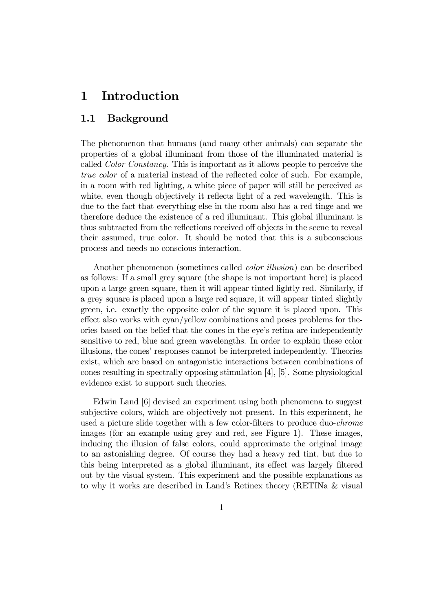## Introduction  $\mathbf 1$

### $1.1$ **Background**

The phenomenon that humans (and many other animals) can separate the properties of a global illuminant from those of the illuminated material is called *Color Constancy*. This is important as it allows people to perceive the *true color* of a material instead of the reflected color of such. For example, in a room with red lighting, a white piece of paper will still be perceived as white, even though objectively it reflects light of a red wavelength. This is due to the fact that everything else in the room also has a red tinge and we therefore deduce the existence of a red illuminant. This global illuminant is thus subtracted from the reflections received off objects in the scene to reveal their assumed, true color. It should be noted that this is a subconscious process and needs no conscious interaction.

Another phenomenon (sometimes called *color illusion*) can be described as follows: If a small grey square (the shape is not important here) is placed upon a large green square, then it will appear tinted lightly red. Similarly, if a grey square is placed upon a large red square, it will appear tinted slightly green, i.e. exactly the opposite color of the square it is placed upon. This effect also works with cyan/yellow combinations and poses problems for theories based on the belief that the cones in the eye's retina are independently sensitive to red, blue and green wavelengths. In order to explain these color illusions, the cones' responses cannot be interpreted independently. Theories exist, which are based on antagonistic interactions between combinations of cones resulting in spectrally opposing stimulation  $[4]$ ,  $[5]$ . Some physiological evidence exist to support such theories.

Edwin Land [6] devised an experiment using both phenomena to suggest subjective colors, which are objectively not present. In this experiment, he used a picture slide together with a few color-filters to produce duo-*chrome* images (for an example using grey and red, see Figure 1). These images, inducing the illusion of false colors, could approximate the original image to an astonishing degree. Of course they had a heavy red tint, but due to this being interpreted as a global illuminant, its effect was largely filtered out by the visual system. This experiment and the possible explanations as to why it works are described in Land's Retinex theory (RETINa & visual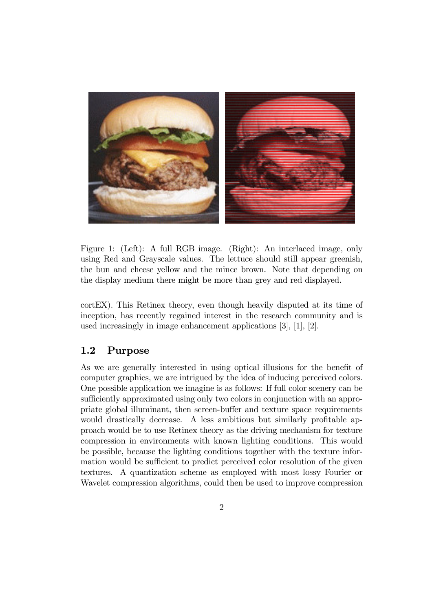

Figure 1: (Left): A full RGB image. (Right): An interlaced image, only using Red and Grayscale values. The lettuce should still appear greenish, the bun and cheese yellow and the mince brown. Note that depending on the display medium there might be more than grey and red displayed.

cortEX). This Retinex theory, even though heavily disputed at its time of inception, has recently regained interest in the research community and is used increasingly in image enhancement applications  $[3]$ ,  $[1]$ ,  $[2]$ .

#### $1.2$ Purpose

As we are generally interested in using optical illusions for the benefit of computer graphics, we are intrigued by the idea of inducing perceived colors. One possible application we imagine is as follows: If full color scenery can be sufficiently approximated using only two colors in conjunction with an appropriate global illuminant, then screen-buffer and texture space requirements would drastically decrease. A less ambitious but similarly profitable approach would be to use Retinex theory as the driving mechanism for texture compression in environments with known lighting conditions. This would be possible, because the lighting conditions together with the texture information would be sufficient to predict perceived color resolution of the given textures. A quantization scheme as employed with most lossy Fourier or Wavelet compression algorithms, could then be used to improve compression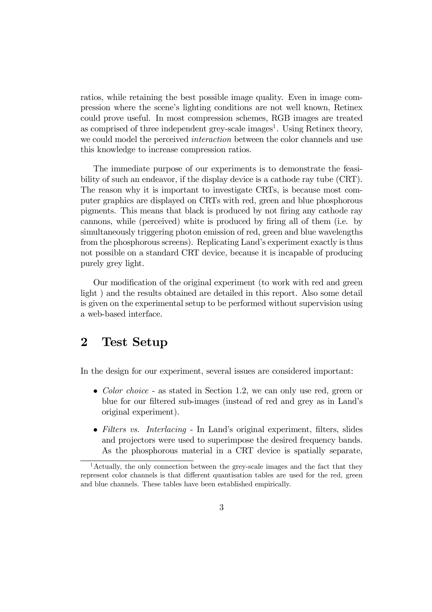ratios, while retaining the best possible image quality. Even in image compression where the scene's lighting conditions are not well known. Retinex could prove useful. In most compression schemes, RGB images are treated as comprised of three independent grey-scale images<sup>1</sup>. Using Retinex theory, we could model the perceived *interaction* between the color channels and use this knowledge to increase compression ratios.

The immediate purpose of our experiments is to demonstrate the feasibility of such an endeavor, if the display device is a cathode ray tube (CRT). The reason why it is important to investigate CRTs, is because most computer graphics are displayed on CRTs with red, green and blue phosphorous pigments. This means that black is produced by not firing any cathode ray cannons, while (perceived) white is produced by firing all of them (i.e. by simultaneously triggering photon emission of red, green and blue wavelengths from the phosphorous screens). Replicating Land's experiment exactly is thus not possible on a standard CRT device, because it is incapable of producing purely grey light.

Our modification of the original experiment (to work with red and green light) and the results obtained are detailed in this report. Also some detail is given on the experimental setup to be performed without supervision using a web-based interface.

# $\overline{2}$ **Test Setup**

In the design for our experiment, several issues are considered important:

- Color choice as stated in Section 1.2, we can only use red, green or blue for our filtered sub-images (instead of red and grey as in Land's original experiment).
- Filters vs. Interlacing In Land's original experiment, filters, slides and projectors were used to superimpose the desired frequency bands. As the phosphorous material in a CRT device is spatially separate.

<sup>&</sup>lt;sup>1</sup>Actually, the only connection between the grey-scale images and the fact that they represent color channels is that different quantisation tables are used for the red, green and blue channels. These tables have been established empirically.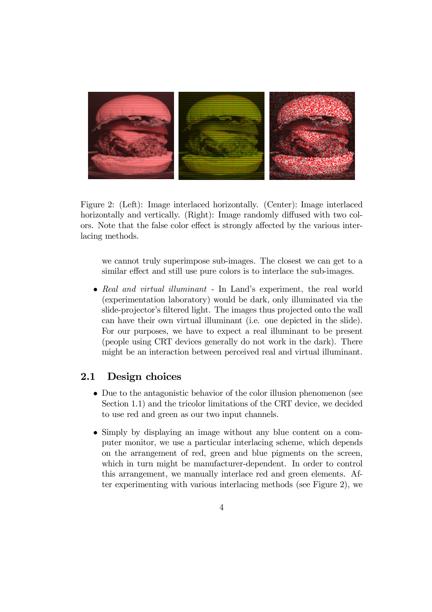

Figure 2: (Left): Image interlaced horizontally. (Center): Image interlaced horizontally and vertically. (Right): Image randomly diffused with two colors. Note that the false color effect is strongly affected by the various interlacing methods.

we cannot truly superimpose sub-images. The closest we can get to a similar effect and still use pure colors is to interlace the sub-images.

• Real and virtual illuminant - In Land's experiment, the real world (experimentation laboratory) would be dark, only illuminated via the slide-projector's filtered light. The images thus projected onto the wall can have their own virtual illuminant (i.e. one depicted in the slide). For our purposes, we have to expect a real illuminant to be present (people using CRT devices generally do not work in the dark). There might be an interaction between perceived real and virtual illuminant.

#### Design choices  $2.1$

- Due to the antagonistic behavior of the color illusion phenomenon (see Section 1.1) and the tricolor limitations of the CRT device, we decided to use red and green as our two input channels.
- Simply by displaying an image without any blue content on a computer monitor, we use a particular interlacing scheme, which depends on the arrangement of red, green and blue pigments on the screen, which in turn might be manufacturer-dependent. In order to control this arrangement, we manually interlace red and green elements. After experimenting with various interlacing methods (see Figure 2), we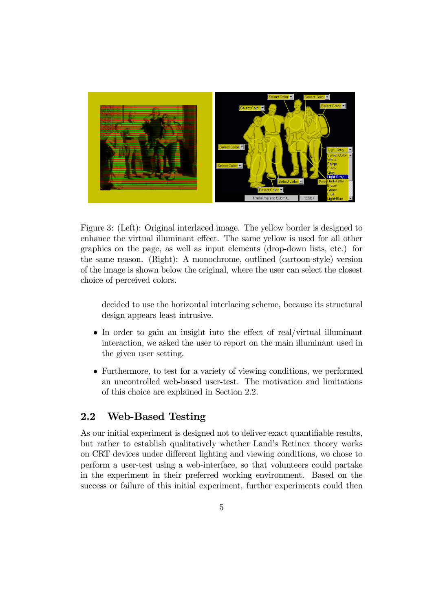

Figure 3: (Left): Original interlaced image. The yellow border is designed to enhance the virtual illuminant effect. The same yellow is used for all other graphics on the page, as well as input elements (drop-down lists, etc.) for the same reason. (Right): A monochrome, outlined (cartoon-style) version of the image is shown below the original, where the user can select the closest choice of perceived colors.

decided to use the horizontal interlacing scheme, because its structural design appears least intrusive.

- $\bullet$  In order to gain an insight into the effect of real/virtual illuminant interaction, we asked the user to report on the main illuminant used in the given user setting.
- Furthermore, to test for a variety of viewing conditions, we performed an uncontrolled web-based user-test. The motivation and limitations of this choice are explained in Section 2.2.

#### $2.2$ **Web-Based Testing**

As our initial experiment is designed not to deliver exact quantifiable results, but rather to establish qualitatively whether Land's Retinex theory works on CRT devices under different lighting and viewing conditions, we chose to perform a user-test using a web-interface, so that volunteers could partake in the experiment in their preferred working environment. Based on the success or failure of this initial experiment, further experiments could then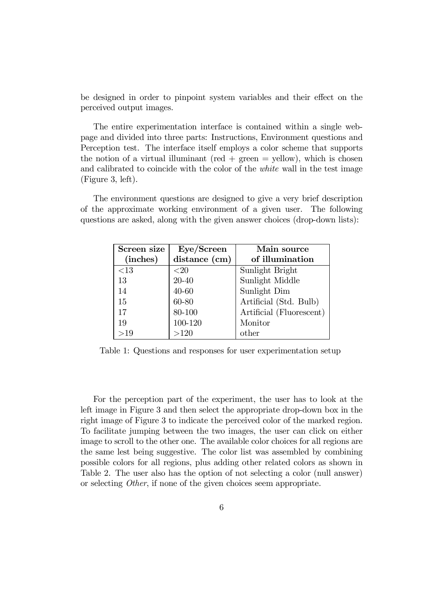be designed in order to pinpoint system variables and their effect on the perceived output images.

The entire experimentation interface is contained within a single webpage and divided into three parts: Instructions, Environment questions and Perception test. The interface itself employs a color scheme that supports the notion of a virtual illuminant (red  $+$  green  $=$  yellow), which is chosen and calibrated to coincide with the color of the *white* wall in the test image  $(Figure 3, left).$ 

The environment questions are designed to give a very brief description of the approximate working environment of a given user. The following questions are asked, along with the given answer choices (drop-down lists):

| Screen size | Eye/Screen    | Main source              |  |  |  |  |  |  |
|-------------|---------------|--------------------------|--|--|--|--|--|--|
| (inches)    | distance (cm) | of illumination          |  |  |  |  |  |  |
| ${<}13$     | ${<}20$       | Sunlight Bright          |  |  |  |  |  |  |
| 13          | 20-40         | Sunlight Middle          |  |  |  |  |  |  |
| 14          | 40-60         | Sunlight Dim             |  |  |  |  |  |  |
| 15          | 60-80         | Artificial (Std. Bulb)   |  |  |  |  |  |  |
| 17          | 80-100        | Artificial (Fluorescent) |  |  |  |  |  |  |
| 19          | 100-120       | Monitor                  |  |  |  |  |  |  |
| >19         | >120          | other                    |  |  |  |  |  |  |

Table 1: Questions and responses for user experimentation setup

For the perception part of the experiment, the user has to look at the left image in Figure 3 and then select the appropriate drop-down box in the right image of Figure 3 to indicate the perceived color of the marked region. To facilitate jumping between the two images, the user can click on either image to scroll to the other one. The available color choices for all regions are the same lest being suggestive. The color list was assembled by combining possible colors for all regions, plus adding other related colors as shown in Table 2. The user also has the option of not selecting a color (null answer) or selecting *Other*, if none of the given choices seem appropriate.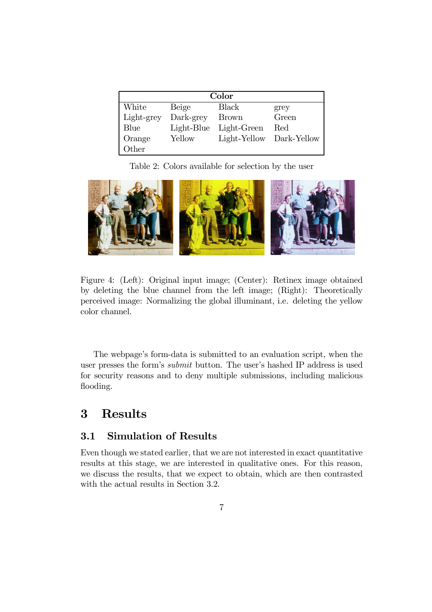| Color      |            |                          |       |  |  |  |  |  |  |  |
|------------|------------|--------------------------|-------|--|--|--|--|--|--|--|
| White      | Beige      | Black                    | grey  |  |  |  |  |  |  |  |
| Light-grey | Dark-grey  | <b>Brown</b>             | Green |  |  |  |  |  |  |  |
| Blue       | Light-Blue | Light-Green              | Red   |  |  |  |  |  |  |  |
| Orange     | Yellow     | Light-Yellow Dark-Yellow |       |  |  |  |  |  |  |  |
| Other      |            |                          |       |  |  |  |  |  |  |  |

Table 2: Colors available for selection by the user



Figure 4: (Left): Original input image; (Center): Retinex image obtained by deleting the blue channel from the left image; (Right): Theoretically perceived image: Normalizing the global illuminant, i.e. deleting the yellow color channel.

The webpage's form-data is submitted to an evaluation script, when the user presses the form's *submit* button. The user's hashed IP address is used for security reasons and to deny multiple submissions, including malicious flooding.

# 3 **Results**

#### $3.1$ **Simulation of Results**

Even though we stated earlier, that we are not interested in exact quantitative results at this stage, we are interested in qualitative ones. For this reason, we discuss the results, that we expect to obtain, which are then contrasted with the actual results in Section 3.2.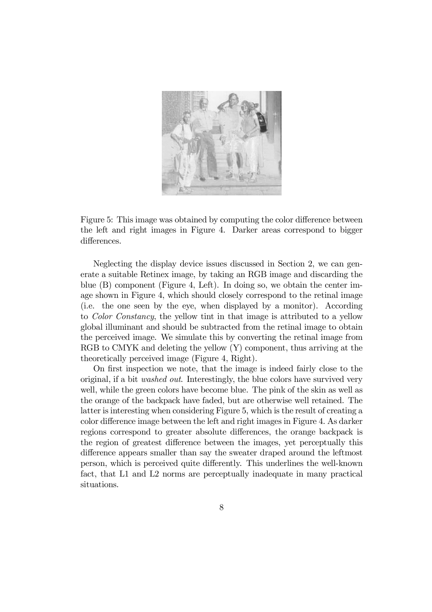

Figure 5: This image was obtained by computing the color difference between the left and right images in Figure 4. Darker areas correspond to bigger differences.

Neglecting the display device issues discussed in Section 2, we can generate a suitable Retinex image, by taking an RGB image and discarding the blue  $(B)$  component (Figure 4, Left). In doing so, we obtain the center image shown in Figure 4, which should closely correspond to the retinal image (i.e. the one seen by the eye, when displayed by a monitor). According to Color Constancy, the yellow tint in that image is attributed to a yellow global illuminant and should be subtracted from the retinal image to obtain the perceived image. We simulate this by converting the retinal image from RGB to CMYK and deleting the yellow (Y) component, thus arriving at the theoretically perceived image (Figure 4, Right).

On first inspection we note, that the image is indeed fairly close to the original, if a bit *washed out*. Interestingly, the blue colors have survived very well, while the green colors have become blue. The pink of the skin as well as the orange of the backpack have faded, but are otherwise well retained. The latter is interesting when considering Figure 5, which is the result of creating a color difference image between the left and right images in Figure 4. As darker regions correspond to greater absolute differences, the orange backpack is the region of greatest difference between the images, yet perceptually this difference appears smaller than say the sweater draped around the leftmost person, which is perceived quite differently. This underlines the well-known fact, that L1 and L2 norms are perceptually inadequate in many practical situations.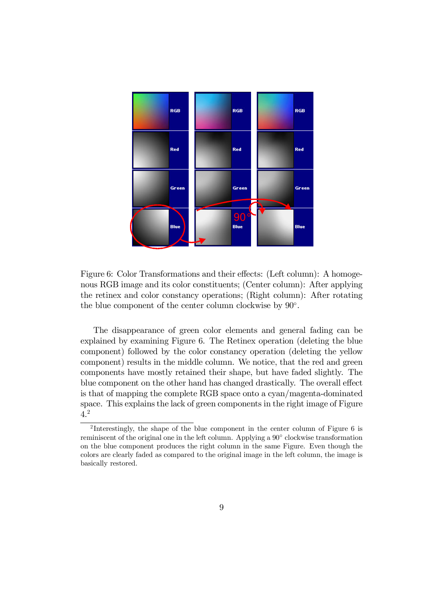

Figure 6: Color Transformations and their effects: (Left column): A homogenous RGB image and its color constituents; (Center column): After applying the retinex and color constancy operations; (Right column): After rotating the blue component of the center column clockwise by  $90^{\circ}$ .

The disappearance of green color elements and general fading can be explained by examining Figure 6. The Retinex operation (deleting the blue component) followed by the color constancy operation (deleting the yellow component) results in the middle column. We notice, that the red and green components have mostly retained their shape, but have faded slightly. The blue component on the other hand has changed drastically. The overall effect is that of mapping the complete RGB space onto a cyan/magenta-dominated space. This explains the lack of green components in the right image of Figure  $4.2$ 

<sup>&</sup>lt;sup>2</sup>Interestingly, the shape of the blue component in the center column of Figure 6 is reminiscent of the original one in the left column. Applying a  $90^{\circ}$  clockwise transformation on the blue component produces the right column in the same Figure. Even though the colors are clearly faded as compared to the original image in the left column, the image is basically restored.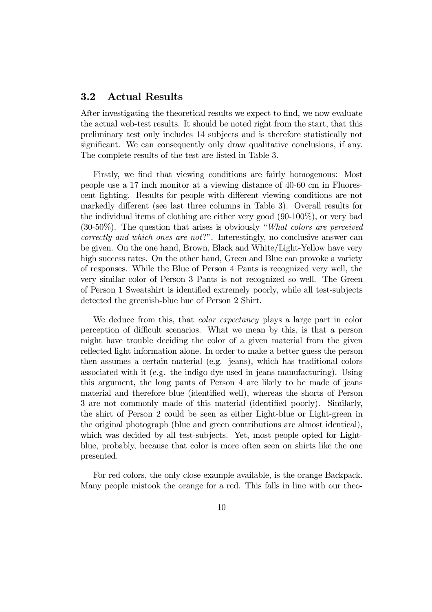#### $3.2$ **Actual Results**

After investigating the theoretical results we expect to find, we now evaluate the actual web-test results. It should be noted right from the start, that this preliminary test only includes 14 subjects and is therefore statistically not significant. We can consequently only draw qualitative conclusions, if any. The complete results of the test are listed in Table 3.

Firstly, we find that viewing conditions are fairly homogenous: Most people use a 17 inch monitor at a viewing distance of 40-60 cm in Fluorescent lighting. Results for people with different viewing conditions are not markedly different (see last three columns in Table 3). Overall results for the individual items of clothing are either very good  $(90-100\%)$ , or very bad  $(30-50\%)$ . The question that arises is obviously "What colors are perceived correctly and which ones are not?". Interestingly, no conclusive answer can be given. On the one hand, Brown, Black and White/Light-Yellow have very high success rates. On the other hand, Green and Blue can provoke a variety of responses. While the Blue of Person 4 Pants is recognized very well, the very similar color of Person 3 Pants is not recognized so well. The Green of Person 1 Sweatshirt is identified extremely poorly, while all test-subjects detected the greenish-blue hue of Person 2 Shirt.

We deduce from this, that *color expectancy* plays a large part in color perception of difficult scenarios. What we mean by this, is that a person might have trouble deciding the color of a given material from the given reflected light information alone. In order to make a better guess the person then assumes a certain material (e.g. jeans), which has traditional colors associated with it (e.g. the indigo dye used in jeans manufacturing). Using this argument, the long pants of Person 4 are likely to be made of jeans material and therefore blue (identified well), whereas the shorts of Person 3 are not commonly made of this material (identified poorly). Similarly, the shirt of Person 2 could be seen as either Light-blue or Light-green in the original photograph (blue and green contributions are almost identical), which was decided by all test-subjects. Yet, most people opted for Lightblue, probably, because that color is more often seen on shirts like the one presented.

For red colors, the only close example available, is the orange Backpack. Many people mistook the orange for a red. This falls in line with our theo-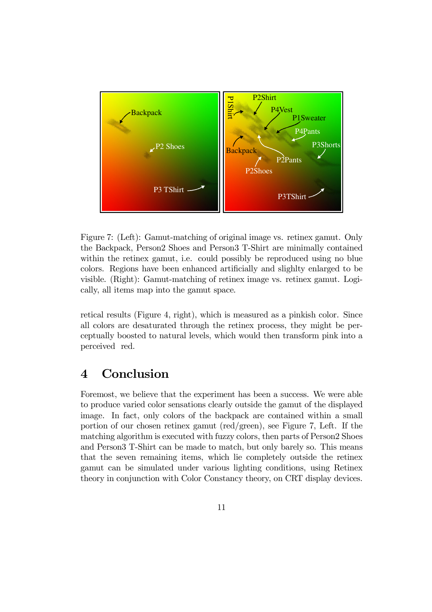

Figure 7: (Left): Gamut-matching of original image vs. retinex gamut. Only the Backpack, Person2 Shoes and Person3 T-Shirt are minimally contained within the retinex gamut, i.e. could possibly be reproduced using no blue colors. Regions have been enhanced artificially and slighly enlarged to be visible. (Right): Gamut-matching of retinex image vs. retinex gamut. Logically, all items map into the gamut space.

retical results (Figure 4, right), which is measured as a pinkish color. Since all colors are desaturated through the retinex process, they might be perceptually boosted to natural levels, which would then transform pink into a perceived red.

# Conclusion  $\boldsymbol{4}$

Foremost, we believe that the experiment has been a success. We were able to produce varied color sensations clearly outside the gamut of the displayed image. In fact, only colors of the backpack are contained within a small portion of our chosen retinex gamut (red/green), see Figure 7, Left. If the matching algorithm is executed with fuzzy colors, then parts of Person2 Shoes and Person T-Shirt can be made to match, but only barely so. This means that the seven remaining items, which lie completely outside the retinex gamut can be simulated under various lighting conditions, using Retinex theory in conjunction with Color Constancy theory, on CRT display devices.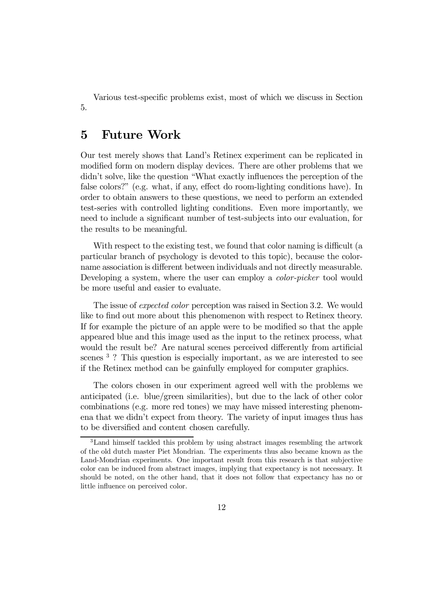Various test-specific problems exist, most of which we discuss in Section 5.

### $\overline{5}$ **Future Work**

Our test merely shows that Land's Retinex experiment can be replicated in modified form on modern display devices. There are other problems that we didn't solve, like the question "What exactly influences the perception of the false colors?" (e.g. what, if any, effect do room-lighting conditions have). In order to obtain answers to these questions, we need to perform an extended test-series with controlled lighting conditions. Even more importantly, we need to include a significant number of test-subjects into our evaluation, for the results to be meaningful.

With respect to the existing test, we found that color naming is difficult (a particular branch of psychology is devoted to this topic), because the colorname association is different between individuals and not directly measurable. Developing a system, where the user can employ a color-picker tool would be more useful and easier to evaluate.

The issue of *expected color* perception was raised in Section 3.2. We would like to find out more about this phenomenon with respect to Retinex theory. If for example the picture of an apple were to be modified so that the apple appeared blue and this image used as the input to the retinex process, what would the result be? Are natural scenes perceived differently from artificial scenes<sup>3</sup>? This question is especially important, as we are interested to see if the Retinex method can be gainfully employed for computer graphics.

The colors chosen in our experiment agreed well with the problems we anticipated (i.e. blue/green similarities), but due to the lack of other color combinations (e.g. more red tones) we may have missed interesting phenomena that we didn't expect from theory. The variety of input images thus has to be diversified and content chosen carefully.

<sup>&</sup>lt;sup>3</sup>Land himself tackled this problem by using abstract images resembling the artwork of the old dutch master Piet Mondrian. The experiments thus also became known as the Land-Mondrian experiments. One important result from this research is that subjective color can be induced from abstract images, implying that expectancy is not necessary. It should be noted, on the other hand, that it does not follow that expectancy has no or little influence on perceived color.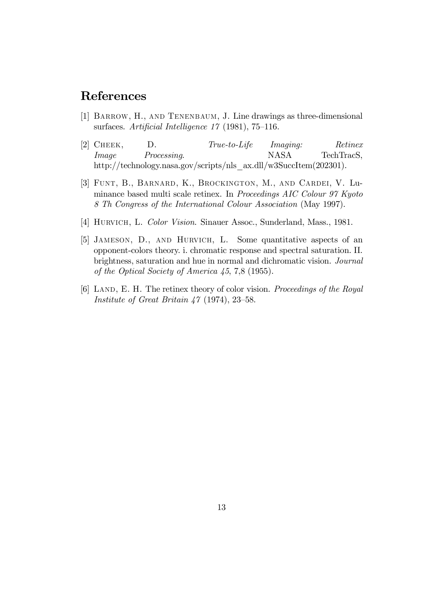# References

- [1] BARROW, H., AND TENENBAUM, J. Line drawings as three-dimensional surfaces. Artificial Intelligence  $17$  (1981), 75-116.
- [2]  $CHEEK,$  $D.$  $True-to-Life$ Imaging: Retinex *Image* Processing. **NASA** TechTracS. http://technology.nasa.gov/scripts/nls ax.dll/w3SuccItem(202301).
- [3] FUNT, B., BARNARD, K., BROCKINGTON, M., AND CARDEI, V. Luminance based multi scale retinex. In Proceedings AIC Colour 97 Kyoto 8 Th Congress of the International Colour Association (May 1997).
- [4] HURVICH, L. Color Vision. Sinauer Assoc., Sunderland, Mass., 1981.
- [5] JAMESON, D., AND HURVICH, L. Some quantitative aspects of an opponent-colors theory. i. chromatic response and spectral saturation. II. brightness, saturation and hue in normal and dichromatic vision. Journal of the Optical Society of America  $45, 7, 8$  (1955).
- [6] LAND, E. H. The retinex theory of color vision. Proceedings of the Royal Institute of Great Britain  $47$  (1974), 23–58.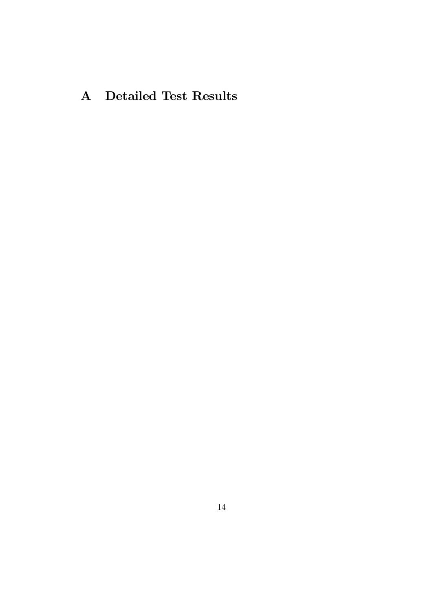# A Detailed Test Results